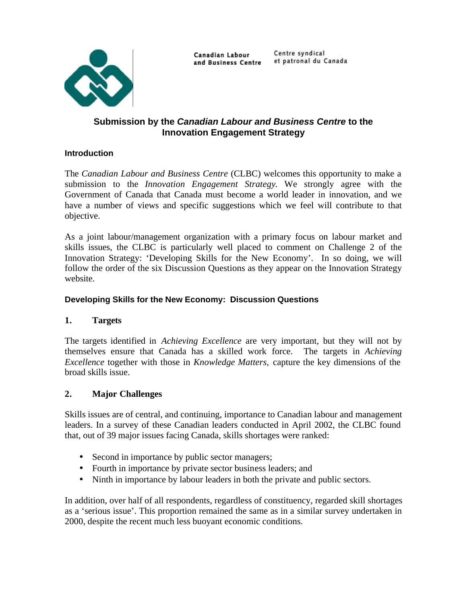

Canadian Labour and Business Centre Centre syndical et patronal du Canada

# **Submission by the** *Canadian Labour and Business Centre* **to the Innovation Engagement Strategy**

# **Introduction**

The *Canadian Labour and Business Centre* (CLBC) welcomes this opportunity to make a submission to the *Innovation Engagement Strategy*. We strongly agree with the Government of Canada that Canada must become a world leader in innovation, and we have a number of views and specific suggestions which we feel will contribute to that objective.

As a joint labour/management organization with a primary focus on labour market and skills issues, the CLBC is particularly well placed to comment on Challenge 2 of the Innovation Strategy: 'Developing Skills for the New Economy'. In so doing, we will follow the order of the six Discussion Questions as they appear on the Innovation Strategy website.

#### **Developing Skills for the New Economy: Discussion Questions**

# **1. Targets**

The targets identified in *Achieving Excellence* are very important, but they will not by themselves ensure that Canada has a skilled work force. The targets in *Achieving Excellence* together with those in *Knowledge Matters,* capture the key dimensions of the broad skills issue.

# **2. Major Challenges**

Skills issues are of central, and continuing, importance to Canadian labour and management leaders. In a survey of these Canadian leaders conducted in April 2002, the CLBC found that, out of 39 major issues facing Canada, skills shortages were ranked:

- Second in importance by public sector managers;
- Fourth in importance by private sector business leaders; and
- Ninth in importance by labour leaders in both the private and public sectors.

In addition, over half of all respondents, regardless of constituency, regarded skill shortages as a 'serious issue'. This proportion remained the same as in a similar survey undertaken in 2000, despite the recent much less buoyant economic conditions.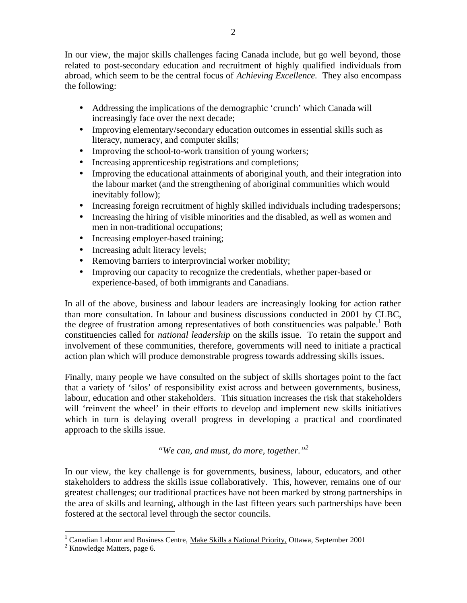In our view, the major skills challenges facing Canada include, but go well beyond, those related to post-secondary education and recruitment of highly qualified individuals from abroad, which seem to be the central focus of *Achieving Excellence.* They also encompass the following:

- Addressing the implications of the demographic 'crunch' which Canada will increasingly face over the next decade;
- Improving elementary/secondary education outcomes in essential skills such as literacy, numeracy, and computer skills;
- Improving the school-to-work transition of young workers;
- Increasing apprenticeship registrations and completions;
- Improving the educational attainments of aboriginal youth, and their integration into the labour market (and the strengthening of aboriginal communities which would inevitably follow);
- Increasing foreign recruitment of highly skilled individuals including tradespersons;
- Increasing the hiring of visible minorities and the disabled, as well as women and men in non-traditional occupations;
- Increasing employer-based training;
- Increasing adult literacy levels;
- Removing barriers to interprovincial worker mobility;
- Improving our capacity to recognize the credentials, whether paper-based or experience-based, of both immigrants and Canadians.

In all of the above, business and labour leaders are increasingly looking for action rather than more consultation. In labour and business discussions conducted in 2001 by CLBC, the degree of frustration among representatives of both constituencies was palpable.<sup>1</sup> Both constituencies called for *national leadership* on the skills issue. To retain the support and involvement of these communities, therefore, governments will need to initiate a practical action plan which will produce demonstrable progress towards addressing skills issues.

Finally, many people we have consulted on the subject of skills shortages point to the fact that a variety of 'silos' of responsibility exist across and between governments, business, labour, education and other stakeholders. This situation increases the risk that stakeholders will 'reinvent the wheel' in their efforts to develop and implement new skills initiatives which in turn is delaying overall progress in developing a practical and coordinated approach to the skills issue.

*"We can, and must, do more, together."2* 

In our view, the key challenge is for governments, business, labour, educators, and other stakeholders to address the skills issue collaboratively. This, however, remains one of our greatest challenges; our traditional practices have not been marked by strong partnerships in the area of skills and learning, although in the last fifteen years such partnerships have been fostered at the sectoral level through the sector councils.

<sup>&</sup>lt;sup>1</sup> Canadian Labour and Business Centre, Make Skills a National Priority, Ottawa, September 2001

 $2$  Knowledge Matters, page 6.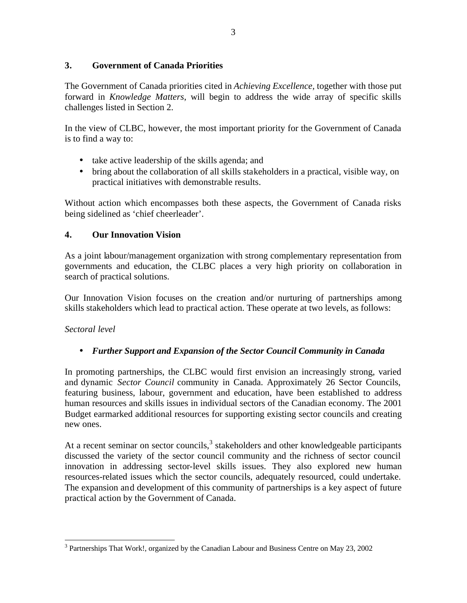#### **3. Government of Canada Priorities**

The Government of Canada priorities cited in *Achieving Excellence,* together with those put forward in *Knowledge Matters*, will begin to address the wide array of specific skills challenges listed in Section 2.

In the view of CLBC, however, the most important priority for the Government of Canada is to find a way to:

- take active leadership of the skills agenda; and
- bring about the collaboration of all skills stakeholders in a practical, visible way, on practical initiatives with demonstrable results.

Without action which encompasses both these aspects, the Government of Canada risks being sidelined as 'chief cheerleader'.

# **4. Our Innovation Vision**

As a joint labour/management organization with strong complementary representation from governments and education, the CLBC places a very high priority on collaboration in search of practical solutions.

Our Innovation Vision focuses on the creation and/or nurturing of partnerships among skills stakeholders which lead to practical action. These operate at two levels, as follows:

#### *Sectoral level*

# • *Further Support and Expansion of the Sector Council Community in Canada*

In promoting partnerships, the CLBC would first envision an increasingly strong, varied and dynamic *Sector Council* community in Canada. Approximately 26 Sector Councils, featuring business, labour, government and education, have been established to address human resources and skills issues in individual sectors of the Canadian economy. The 2001 Budget earmarked additional resources for supporting existing sector councils and creating new ones.

At a recent seminar on sector councils, $3$  stakeholders and other knowledgeable participants discussed the variety of the sector council community and the richness of sector council innovation in addressing sector-level skills issues. They also explored new human resources-related issues which the sector councils, adequately resourced, could undertake. The expansion and development of this community of partnerships is a key aspect of future practical action by the Government of Canada.

<sup>&</sup>lt;sup>3</sup> Partnerships That Work!, organized by the Canadian Labour and Business Centre on May 23, 2002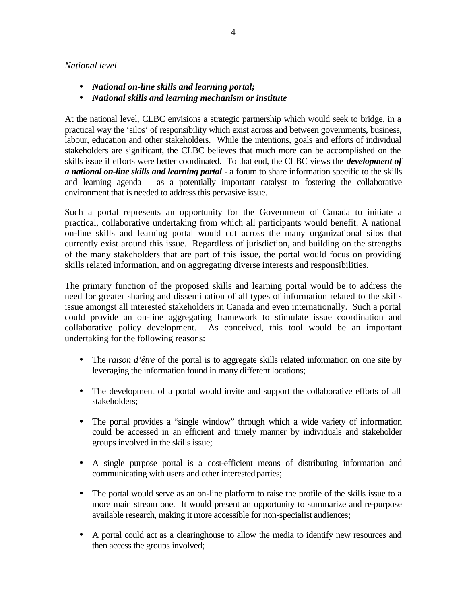#### *National level*

- • *National on-line skills and learning portal;*
- • *National skills and learning mechanism or institute*

At the national level, CLBC envisions a strategic partnership which would seek to bridge, in a practical way the 'silos' of responsibility which exist across and between governments, business, labour, education and other stakeholders. While the intentions, goals and efforts of individual stakeholders are significant, the CLBC believes that much more can be accomplished on the skills issue if efforts were better coordinated. To that end, the CLBC views the *development of a national on-line skills and learning portal* - a forum to share information specific to the skills and learning agenda – as a potentially important catalyst to fostering the collaborative environment that is needed to address this pervasive issue.

Such a portal represents an opportunity for the Government of Canada to initiate a practical, collaborative undertaking from which all participants would benefit. A national on-line skills and learning portal would cut across the many organizational silos that currently exist around this issue. Regardless of jurisdiction, and building on the strengths of the many stakeholders that are part of this issue, the portal would focus on providing skills related information, and on aggregating diverse interests and responsibilities.

The primary function of the proposed skills and learning portal would be to address the need for greater sharing and dissemination of all types of information related to the skills issue amongst all interested stakeholders in Canada and even internationally. Such a portal could provide an on-line aggregating framework to stimulate issue coordination and collaborative policy development. As conceived, this tool would be an important undertaking for the following reasons:

- The *raison d'être* of the portal is to aggregate skills related information on one site by leveraging the information found in many different locations;
- The development of a portal would invite and support the collaborative efforts of all stakeholders;
- The portal provides a "single window" through which a wide variety of information could be accessed in an efficient and timely manner by individuals and stakeholder groups involved in the skills issue;
- A single purpose portal is a cost-efficient means of distributing information and communicating with users and other interested parties;
- The portal would serve as an on-line platform to raise the profile of the skills issue to a more main stream one. It would present an opportunity to summarize and re-purpose available research, making it more accessible for non-specialist audiences;
- A portal could act as a clearinghouse to allow the media to identify new resources and then access the groups involved;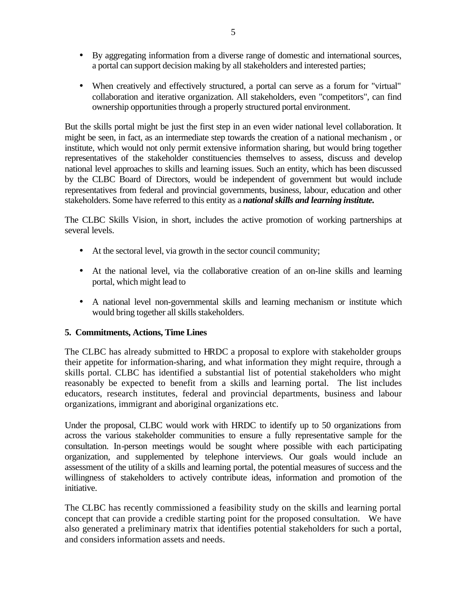- By aggregating information from a diverse range of domestic and international sources, a portal can support decision making by all stakeholders and interested parties;
- When creatively and effectively structured, a portal can serve as a forum for "virtual" collaboration and iterative organization. All stakeholders, even "competitors", can find ownership opportunities through a properly structured portal environment.

But the skills portal might be just the first step in an even wider national level collaboration. It might be seen, in fact, as an intermediate step towards the creation of a national mechanism , or institute, which would not only permit extensive information sharing, but would bring together representatives of the stakeholder constituencies themselves to assess, discuss and develop national level approaches to skills and learning issues. Such an entity, which has been discussed by the CLBC Board of Directors, would be independent of government but would include representatives from federal and provincial governments, business, labour, education and other stakeholders. Some have referred to this entity as a *national skills and learning institute.* 

The CLBC Skills Vision, in short, includes the active promotion of working partnerships at several levels.

- At the sectoral level, via growth in the sector council community;
- At the national level, via the collaborative creation of an on-line skills and learning portal, which might lead to
- A national level non-governmental skills and learning mechanism or institute which would bring together all skills stakeholders.

# **5. Commitments, Actions, Time Lines**

The CLBC has already submitted to HRDC a proposal to explore with stakeholder groups their appetite for information-sharing, and what information they might require, through a skills portal. CLBC has identified a substantial list of potential stakeholders who might reasonably be expected to benefit from a skills and learning portal. The list includes educators, research institutes, federal and provincial departments, business and labour organizations, immigrant and aboriginal organizations etc.

Under the proposal, CLBC would work with HRDC to identify up to 50 organizations from across the various stakeholder communities to ensure a fully representative sample for the consultation. In-person meetings would be sought where possible with each participating organization, and supplemented by telephone interviews. Our goals would include an assessment of the utility of a skills and learning portal, the potential measures of success and the willingness of stakeholders to actively contribute ideas, information and promotion of the initiative.

The CLBC has recently commissioned a feasibility study on the skills and learning portal concept that can provide a credible starting point for the proposed consultation. We have also generated a preliminary matrix that identifies potential stakeholders for such a portal, and considers information assets and needs.